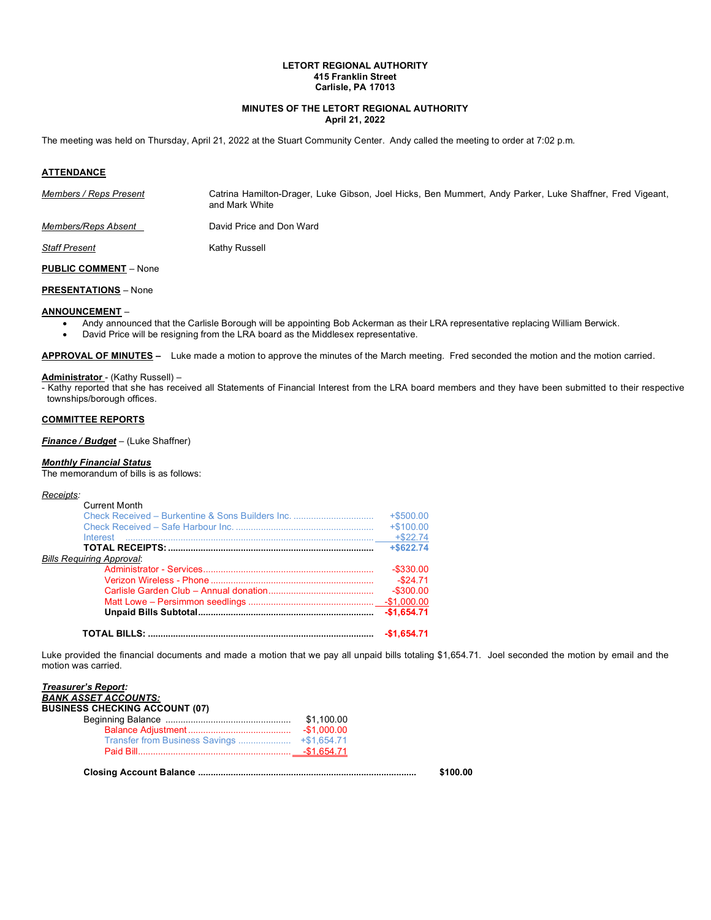# **LETORT REGIONAL AUTHORITY 415 Franklin Street Carlisle, PA 17013**

# **MINUTES OF THE LETORT REGIONAL AUTHORITY April 21, 2022**

The meeting was held on Thursday, April 21, 2022 at the Stuart Community Center. Andy called the meeting to order at 7:02 p.m*.*

## **ATTENDANCE**

| Members / Reps Present     | Catrina Hamilton-Drager, Luke Gibson, Joel Hicks, Ben Mummert, Andy Parker, Luke Shaffner, Fred Vigeant,<br>and Mark White |
|----------------------------|----------------------------------------------------------------------------------------------------------------------------|
| <i>Members/Reps Absent</i> | David Price and Don Ward                                                                                                   |
| <b>Staff Present</b>       | Kathy Russell                                                                                                              |

**PUBLIC COMMENT** – None

## **PRESENTATIONS** – None

#### **ANNOUNCEMENT** –

- Andy announced that the Carlisle Borough will be appointing Bob Ackerman as their LRA representative replacing William Berwick.
- David Price will be resigning from the LRA board as the Middlesex representative.

**APPROVAL OF MINUTES –** Luke made a motion to approve the minutes of the March meeting. Fred seconded the motion and the motion carried.

# **Administrator** - (Kathy Russell) –

- Kathy reported that she has received all Statements of Financial Interest from the LRA board members and they have been submitted to their respective townships/borough offices.

## **COMMITTEE REPORTS**

#### *Finance / Budget* – (Luke Shaffner)

#### *Monthly Financial Status*

The memorandum of bills is as follows:

#### *Receipts:*

| <b>Current Month</b>                             |              |
|--------------------------------------------------|--------------|
| Check Received – Burkentine & Sons Builders Inc. |              |
|                                                  | $+$100.00$   |
| Interest                                         | $+$ \$22.74  |
|                                                  | $+$ \$622.74 |
| <b>Bills Requiring Approval:</b>                 |              |
|                                                  | $-$ \$330.00 |
|                                                  | $-$ \$24.71  |
|                                                  |              |
|                                                  |              |
|                                                  | $-$1.654.71$ |
|                                                  | $-$1.654.71$ |

Luke provided the financial documents and made a motion that we pay all unpaid bills totaling \$1,654.71. Joel seconded the motion by email and the motion was carried.

| <b>BUSINESS CHECKING ACCOUNT (07)</b> |  |
|---------------------------------------|--|
|                                       |  |
|                                       |  |
|                                       |  |
|                                       |  |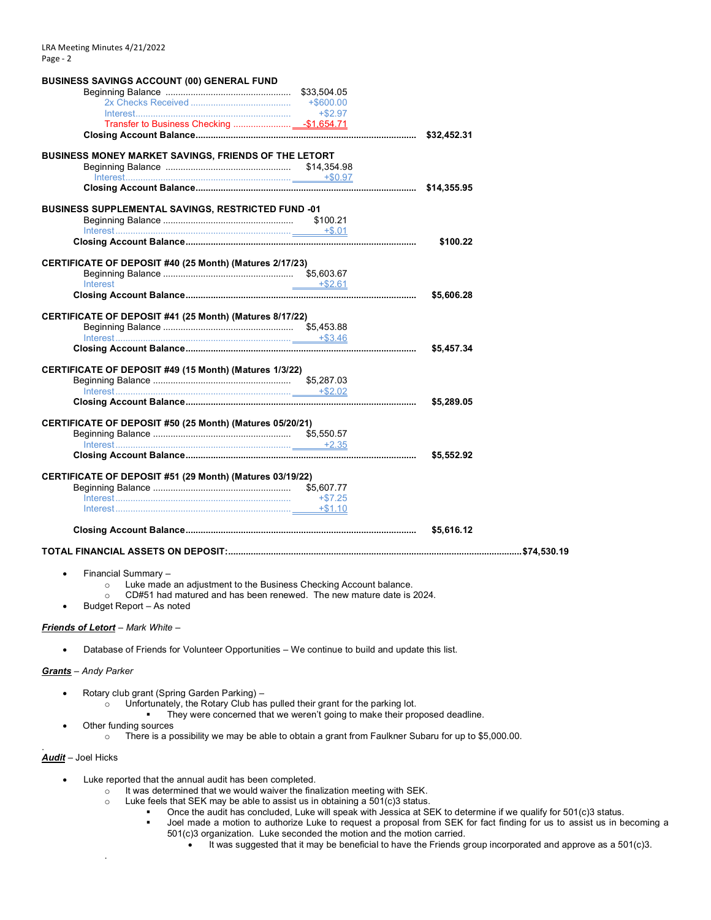| <b>BUSINESS SAVINGS ACCOUNT (00) GENERAL FUND</b>                               |            |            |  |
|---------------------------------------------------------------------------------|------------|------------|--|
|                                                                                 |            |            |  |
|                                                                                 |            |            |  |
|                                                                                 | $+$ \$2.97 |            |  |
|                                                                                 |            |            |  |
|                                                                                 |            |            |  |
| BUSINESS MONEY MARKET SAVINGS, FRIENDS OF THE LETORT                            |            |            |  |
|                                                                                 |            |            |  |
|                                                                                 |            |            |  |
|                                                                                 |            |            |  |
| <b>BUSINESS SUPPLEMENTAL SAVINGS, RESTRICTED FUND -01</b>                       |            |            |  |
|                                                                                 | \$100.21   |            |  |
|                                                                                 |            |            |  |
|                                                                                 |            | \$100.22   |  |
|                                                                                 |            |            |  |
| CERTIFICATE OF DEPOSIT #40 (25 Month) (Matures 2/17/23)                         |            |            |  |
|                                                                                 |            |            |  |
| Interest                                                                        | $+ $2.61$  |            |  |
|                                                                                 |            | \$5,606.28 |  |
|                                                                                 |            |            |  |
| CERTIFICATE OF DEPOSIT #41 (25 Month) (Matures 8/17/22)                         |            |            |  |
|                                                                                 |            |            |  |
|                                                                                 |            |            |  |
|                                                                                 |            | \$5,457.34 |  |
|                                                                                 |            |            |  |
| CERTIFICATE OF DEPOSIT #49 (15 Month) (Matures 1/3/22)                          |            |            |  |
|                                                                                 |            |            |  |
|                                                                                 |            | \$5,289.05 |  |
|                                                                                 |            |            |  |
| CERTIFICATE OF DEPOSIT #50 (25 Month) (Matures 05/20/21)                        |            |            |  |
|                                                                                 |            |            |  |
|                                                                                 |            |            |  |
|                                                                                 |            | \$5,552.92 |  |
|                                                                                 |            |            |  |
| CERTIFICATE OF DEPOSIT #51 (29 Month) (Matures 03/19/22)                        |            |            |  |
|                                                                                 |            |            |  |
|                                                                                 | $+\$7.25$  |            |  |
|                                                                                 |            |            |  |
|                                                                                 |            | \$5,616.12 |  |
|                                                                                 |            |            |  |
|                                                                                 |            |            |  |
| Financial Summary -                                                             |            |            |  |
| Luke made an adjustment to the Business Checking Account balance.<br>$\circ$    |            |            |  |
| CD#51 had matured and has been renewed. The new mature date is 2024.<br>$\circ$ |            |            |  |
| Budget Report – As noted                                                        |            |            |  |

#### *Friends of Letort* – *Mark White* –

• Database of Friends for Volunteer Opportunities – We continue to build and update this list.

## *Grants* – *Andy Parker*

- Rotary club grant (Spring Garden Parking)
	- $\circ$  Unfortunately, the Rotary Club has pulled their grant for the parking lot.
		- **•** They were concerned that we weren't going to make their proposed deadline.
- Other funding sources

.

 $\circ$  There is a possibility we may be able to obtain a grant from Faulkner Subaru for up to \$5,000.00.

## *Audit* – Joel Hicks

.

- Luke reported that the annual audit has been completed.
	- $\circ$  It was determined that we would waiver the finalization meeting with SEK.
	- $\circ$  Luke feels that SEK may be able to assist us in obtaining a 501(c)3 status.
		- Once the audit has concluded, Luke will speak with Jessica at SEK to determine if we qualify for 501(c)3 status.<br>■ Joel made a motion to authorize Luke to request a proposal from SEK for fact finding for us to assist us
			- Joel made a motion to authorize Luke to request a proposal from SEK for fact finding for us to assist us in becoming a 501(c)3 organization. Luke seconded the motion and the motion carried.
				- It was suggested that it may be beneficial to have the Friends group incorporated and approve as a 501(c)3.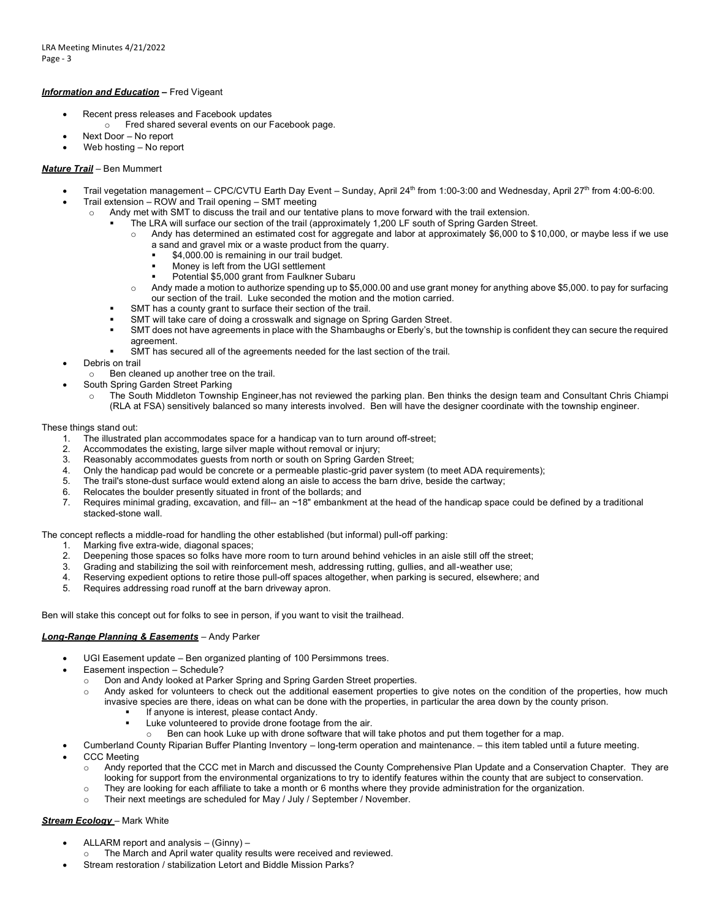### *Information and Education* **–** Fred Vigeant

- Recent press releases and Facebook updates
	- o Fred shared several events on our Facebook page.
- Next Door No report
- Web hosting No report

# *Nature Trail* – Ben Mummert

- Trail vegetation management CPC/CVTU Earth Day Event Sunday, April 24<sup>th</sup> from 1:00-3:00 and Wednesday, April 27<sup>th</sup> from 4:00-6:00.
- Trail extension ROW and Trail opening SMT meeting
	- o Andy met with SMT to discuss the trail and our tentative plans to move forward with the trail extension.
		- The LRA will surface our section of the trail (approximately 1,200 LF south of Spring Garden Street.
			- $\circ$  Andy has determined an estimated cost for aggregate and labor at approximately \$6,000 to \$10,000, or maybe less if we use a sand and gravel mix or a waste product from the quarry.
				- \$4,000.00 is remaining in our trail budget.
				- Money is left from the UGI settlement
				- Potential \$5,000 grant from Faulkner Subaru
			- o Andy made a motion to authorize spending up to \$5,000.00 and use grant money for anything above \$5,000. to pay for surfacing our section of the trail. Luke seconded the motion and the motion carried.
		- SMT has a county grant to surface their section of the trail.
		- SMT will take care of doing a crosswalk and signage on Spring Garden Street.
		- SMT does not have agreements in place with the Shambaughs or Eberly's, but the township is confident they can secure the required agreement.
		- SMT has secured all of the agreements needed for the last section of the trail.
- Debris on trail
- o Ben cleaned up another tree on the trail.
- South Spring Garden Street Parking
	- o The South Middleton Township Engineer,has not reviewed the parking plan. Ben thinks the design team and Consultant Chris Chiampi (RLA at FSA) sensitively balanced so many interests involved. Ben will have the designer coordinate with the township engineer.

#### These things stand out:

- 1. The illustrated plan accommodates space for a handicap van to turn around off-street;
- 2. Accommodates the existing, large silver maple without removal or injury;<br>3. Reasonably accommodates quests from north or south on Spring Garder
- Reasonably accommodates guests from north or south on Spring Garden Street;
- 4. Only the handicap pad would be concrete or a permeable plastic-grid paver system (to meet ADA requirements);
- 5. The trail's stone-dust surface would extend along an aisle to access the barn drive, beside the cartway;
- 6. Relocates the boulder presently situated in front of the bollards; and
- 7. Requires minimal grading, excavation, and fill-- an ~18" embankment at the head of the handicap space could be defined by a traditional stacked-stone wall.

#### The concept reflects a middle-road for handling the other established (but informal) pull-off parking:

- 1. Marking five extra-wide, diagonal spaces;
- 2. Deepening those spaces so folks have more room to turn around behind vehicles in an aisle still off the street;
- 3. Grading and stabilizing the soil with reinforcement mesh, addressing rutting, gullies, and all-weather use;<br>4. Reserving expedient options to retire those pull-off spaces altogether, when parking is secured, elsewher
- Reserving expedient options to retire those pull-off spaces altogether, when parking is secured, elsewhere; and
- 5. Requires addressing road runoff at the barn driveway apron.

Ben will stake this concept out for folks to see in person, if you want to visit the trailhead.

# *Long-Range Planning & Easements* – Andy Parker

- UGI Easement update Ben organized planting of 100 Persimmons trees.
- Easement inspection Schedule?
	- o Don and Andy looked at Parker Spring and Spring Garden Street properties.
	- o Andy asked for volunteers to check out the additional easement properties to give notes on the condition of the properties, how much invasive species are there, ideas on what can be done with the properties, in particular the area down by the county prison.
		- If anyone is interest, please contact Andy.
		- Luke volunteered to provide drone footage from the air.
		- Ben can hook Luke up with drone software that will take photos and put them together for a map.
- Cumberland County Riparian Buffer Planting Inventory long-term operation and maintenance. this item tabled until a future meeting. CCC Meeting
	- o Andy reported that the CCC met in March and discussed the County Comprehensive Plan Update and a Conservation Chapter. They are looking for support from the environmental organizations to try to identify features within the county that are subject to conservation.
	- $\circ$  They are looking for each affiliate to take a month or 6 months where they provide administration for the organization.
	- o Their next meetings are scheduled for May / July / September / November.

# *Stream Ecology* – Mark White

- ALLARM report and analysis (Ginny) –
- o The March and April water quality results were received and reviewed.
- Stream restoration / stabilization Letort and Biddle Mission Parks?